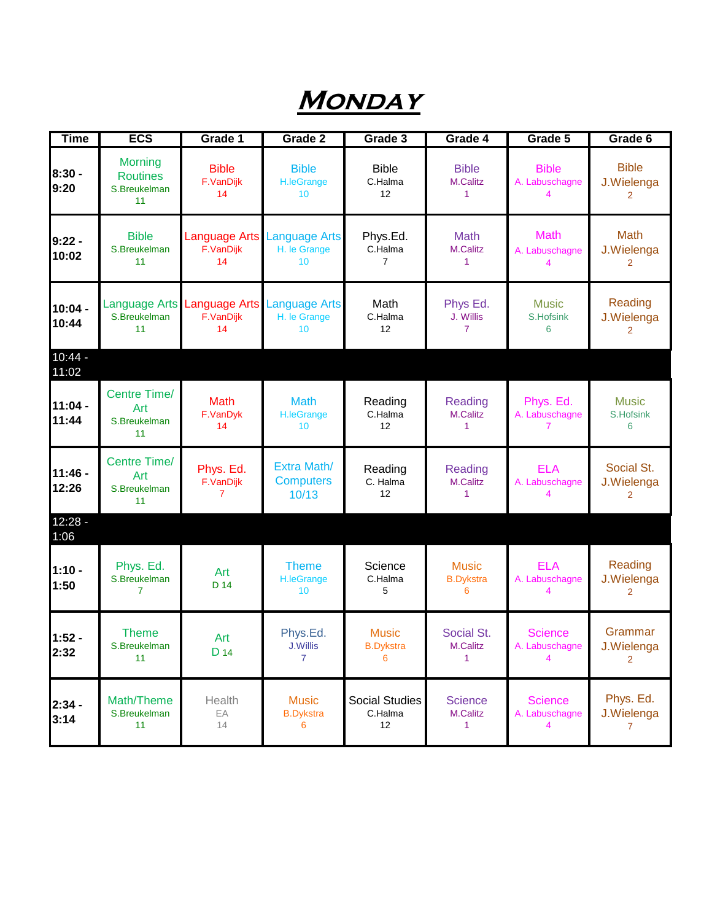# **Monday**

| <b>Time</b>        | <b>ECS</b>                                              | Grade 1                                 | Grade 2                                                 | Grade 3                                             | Grade 4                          | Grade 5                                            | Grade 6                                 |
|--------------------|---------------------------------------------------------|-----------------------------------------|---------------------------------------------------------|-----------------------------------------------------|----------------------------------|----------------------------------------------------|-----------------------------------------|
| $8:30 -$<br>9:20   | <b>Morning</b><br><b>Routines</b><br>S.Breukelman<br>11 | <b>Bible</b><br>F.VanDijk<br>14         | <b>Bible</b><br>H.leGrange<br>10                        | <b>Bible</b><br>C.Halma<br>12                       | <b>Bible</b><br><b>M.Calitz</b>  | <b>Bible</b><br>A. Labuschagne                     | <b>Bible</b><br>J.Wielenga<br>2         |
| $9:22 -$<br>10:02  | <b>Bible</b><br>S.Breukelman<br>11                      | <b>Language Arts</b><br>F.VanDijk<br>14 | <b>Language Arts</b><br>H. le Grange<br>10              | Phys.Ed.<br>C.Halma<br>$\overline{7}$               | Math<br>M.Calitz<br>1            | <b>Math</b><br>A. Labuschagne                      | <b>Math</b><br>J.Wielenga<br>2          |
| $10:04 -$<br>10:44 | <b>Language Arts</b><br>S.Breukelman<br>11              | <b>Language Arts</b><br>F.VanDijk<br>14 | <b>Language Arts</b><br>H. le Grange<br>10 <sup>1</sup> | Math<br>C.Halma<br>12                               | Phys Ed.<br>J. Willis<br>7       | <b>Music</b><br>S.Hofsink<br>6                     | Reading<br>J.Wielenga<br>2              |
| $10:44 -$<br>11:02 |                                                         |                                         |                                                         |                                                     |                                  |                                                    |                                         |
| $11:04 -$<br>11:44 | Centre Time/<br>Art<br>S.Breukelman<br>11               | <b>Math</b><br>F.VanDyk<br>14           | <b>Math</b><br>H.leGrange<br>10                         | Reading<br>C.Halma<br>12                            | Reading<br>M.Calitz              | Phys. Ed.<br>A. Labuschagne                        | <b>Music</b><br>S.Hofsink<br>6          |
| $11:46 -$<br>12:26 | Centre Time/<br>Art<br>S.Breukelman<br>11               | Phys. Ed.<br>F.VanDijk<br>7             | Extra Math/<br><b>Computers</b><br>10/13                | Reading<br>C. Halma<br>$12 \overline{ }$            | Reading<br><b>M.Calitz</b>       | <b>ELA</b><br>A. Labuschagne                       | Social St.<br>J.Wielenga<br>2           |
| $12:28 -$<br>1:06  |                                                         |                                         |                                                         |                                                     |                                  |                                                    |                                         |
| $1:10 -$<br>1:50   | Phys. Ed.<br>S.Breukelman<br>7                          | Art<br>D 14                             | <b>Theme</b><br><b>H.leGrange</b><br>10                 | Science<br>C.Halma<br>5                             | <b>Music</b><br><b>B.Dykstra</b> | <b>ELA</b><br>A. Labuschagne                       | Reading<br>J.Wielenga<br>2              |
| $1:52 -$<br>2:32   | <b>Theme</b><br>S.Breukelman<br>11                      | Art<br>D 14                             | Phys.Ed.<br>J.Willis<br>$\overline{7}$                  | <b>Music</b><br><b>B.Dykstra</b><br>$6\phantom{1}6$ | Social St.<br>M.Calitz<br>1      | <b>Science</b><br>A. Labuschagne<br>$\overline{4}$ | Grammar<br>J.Wielenga<br>$\overline{2}$ |
| $2:34 -$<br>3:14   | Math/Theme<br>S.Breukelman<br>11                        | Health<br>EA<br>14                      | <b>Music</b><br><b>B.Dykstra</b><br>6                   | <b>Social Studies</b><br>C.Halma<br>12              | <b>Science</b><br>M.Calitz<br>1  | <b>Science</b><br>A. Labuschagne                   | Phys. Ed.<br>J.Wielenga<br>7.           |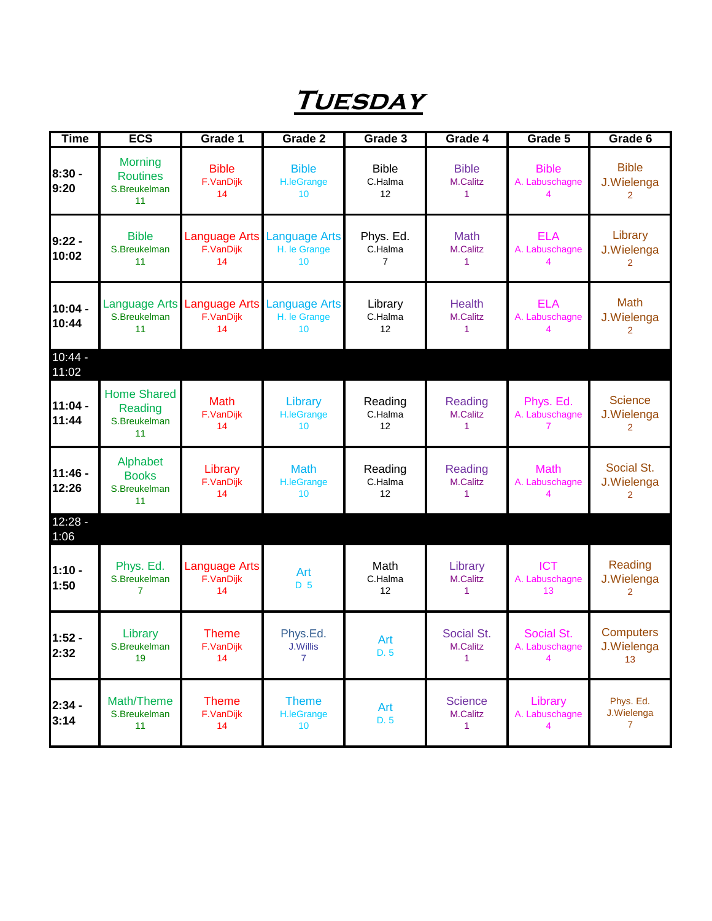## **Tuesday**

| <b>Time</b>        | <b>ECS</b>                                              | Grade 1                                 | Grade 2                                                 | Grade 3                                      | Grade 4                                    | Grade 5                                            | Grade 6                                 |
|--------------------|---------------------------------------------------------|-----------------------------------------|---------------------------------------------------------|----------------------------------------------|--------------------------------------------|----------------------------------------------------|-----------------------------------------|
| $8:30 -$<br>9:20   | <b>Morning</b><br><b>Routines</b><br>S.Breukelman<br>11 | <b>Bible</b><br>F.VanDijk<br>14         | <b>Bible</b><br>H.leGrange<br>10 <sup>°</sup>           | <b>Bible</b><br>C.Halma<br>$12 \overline{ }$ | <b>Bible</b><br><b>M.Calitz</b>            | <b>Bible</b><br>A. Labuschagne                     | <b>Bible</b><br>J.Wielenga<br>2         |
| $9:22 -$<br>10:02  | <b>Bible</b><br>S.Breukelman<br>11                      | <b>Language Arts</b><br>F.VanDijk<br>14 | Language Arts<br>H. le Grange<br>10 <sup>°</sup>        | Phys. Ed.<br>C.Halma<br>$\overline{7}$       | Math<br><b>M.Calitz</b><br>-1              | <b>ELA</b><br>A. Labuschagne                       | Library<br>J.Wielenga<br>2              |
| 10:04 -<br>10:44   | Language Arts<br>S.Breukelman<br>11                     | <b>Language Arts</b><br>F.VanDijk<br>14 | <b>Language Arts</b><br>H. le Grange<br>10 <sup>1</sup> | Library<br>C.Halma<br>12                     | <b>Health</b><br>M.Calitz                  | <b>ELA</b><br>A. Labuschagne                       | Math<br>J.Wielenga<br>2                 |
| $10:44 -$<br>11:02 |                                                         |                                         |                                                         |                                              |                                            |                                                    |                                         |
| 11:04 -<br>11:44   | <b>Home Shared</b><br>Reading<br>S.Breukelman<br>11     | <b>Math</b><br>F.VanDijk<br>14          | Library<br>H.leGrange<br>10 <sup>1</sup>                | Reading<br>C.Halma<br>12                     | Reading<br>M.Calitz                        | Phys. Ed.<br>A. Labuschagne                        | <b>Science</b><br>J.Wielenga<br>2       |
| $11:46 -$<br>12:26 | Alphabet<br><b>Books</b><br>S.Breukelman<br>11          | Library<br>F.VanDijk<br>14              | <b>Math</b><br>H.leGrange<br>10 <sup>°</sup>            | Reading<br>C.Halma<br>$12 \overline{ }$      | Reading<br>M.Calitz                        | <b>Math</b><br>A. Labuschagne                      | Social St.<br>J.Wielenga<br>2           |
| $12:28 -$<br>1:06  |                                                         |                                         |                                                         |                                              |                                            |                                                    |                                         |
| $1:10 -$<br>1:50   | Phys. Ed.<br>S.Breukelman<br>7                          | <b>Language Arts</b><br>F.VanDijk<br>14 | Art<br>D 5                                              | Math<br>C.Halma<br>12                        | Library<br>M.Calitz                        | <b>ICT</b><br>A. Labuschagne<br>13                 | Reading<br>J.Wielenga<br>2              |
| $1:52 -$<br>2:32   | Library<br>S.Breukelman<br>19                           | <b>Theme</b><br>F.VanDijk<br>14         | Phys.Ed.<br>J.Willis<br>$\overline{7}$                  | Art<br>D. 5                                  | Social St.<br>M.Calitz<br>$\mathbf{1}$     | Social St.<br>A. Labuschagne<br>$\overline{4}$     | <b>Computers</b><br>J.Wielenga<br>13    |
| $2:34 -$<br>3:14   | Math/Theme<br>S.Breukelman<br>11                        | <b>Theme</b><br>F.VanDijk<br>14         | <b>Theme</b><br>H.leGrange<br>10 <sup>°</sup>           | Art<br>D. 5                                  | <b>Science</b><br>M.Calitz<br>$\mathbf{1}$ | Library<br>A. Labuschagne<br>$\boldsymbol{\Delta}$ | Phys. Ed.<br>J.Wielenga<br>$\mathbf{7}$ |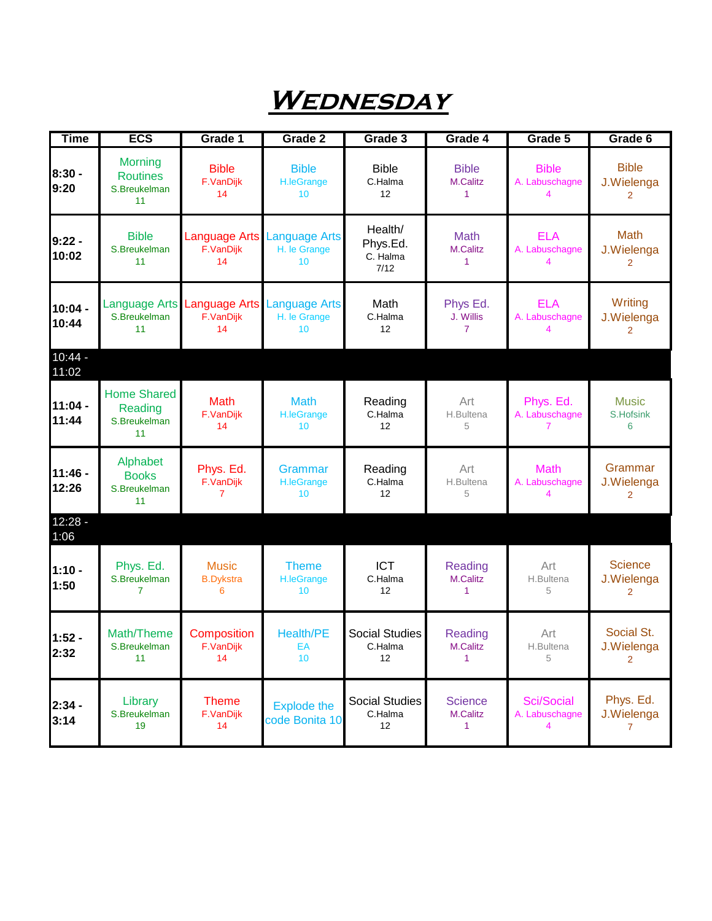### **Wednesday**

| <b>Time</b>        | <b>ECS</b>                                              | Grade 1                                 | Grade 2                                                 | Grade 3                                 | Grade 4                                    | Grade 5                                                       | Grade 6                                    |
|--------------------|---------------------------------------------------------|-----------------------------------------|---------------------------------------------------------|-----------------------------------------|--------------------------------------------|---------------------------------------------------------------|--------------------------------------------|
| $8:30 -$<br>9:20   | <b>Morning</b><br><b>Routines</b><br>S.Breukelman<br>11 | <b>Bible</b><br>F.VanDijk<br>14         | <b>Bible</b><br>H.leGrange<br>10                        | <b>Bible</b><br>C.Halma<br>12           | <b>Bible</b><br><b>M.Calitz</b>            | <b>Bible</b><br>A. Labuschagne                                | <b>Bible</b><br>J.Wielenga                 |
| $9:22 -$<br>10:02  | <b>Bible</b><br>S.Breukelman<br>11                      | <b>Language Arts</b><br>F.VanDijk<br>14 | <b>Language Arts</b><br>H. le Grange<br>10              | Health/<br>Phys.Ed.<br>C. Halma<br>7/12 | <b>Math</b><br><b>M.Calitz</b><br>1        | <b>ELA</b><br>A. Labuschagne                                  | Math<br>J.Wielenga<br>2                    |
| $10:04 -$<br>10:44 | <b>Language Arts</b><br>S.Breukelman<br>11              | <b>Language Arts</b><br>F.VanDijk<br>14 | <b>Language Arts</b><br>H. le Grange<br>10 <sup>1</sup> | Math<br>C.Halma<br>12                   | Phys Ed.<br>J. Willis<br>7                 | <b>ELA</b><br>A. Labuschagne                                  | Writing<br>J.Wielenga<br>2                 |
| $10:44 -$<br>11:02 |                                                         |                                         |                                                         |                                         |                                            |                                                               |                                            |
| $11:04 -$<br>11:44 | <b>Home Shared</b><br>Reading<br>S.Breukelman<br>11     | <b>Math</b><br>F.VanDijk<br>14          | <b>Math</b><br>H.leGrange<br>10                         | Reading<br>C.Halma<br>12                | Art<br>H.Bultena<br>5                      | Phys. Ed.<br>A. Labuschagne                                   | <b>Music</b><br>S.Hofsink<br>6             |
| $11:46 -$<br>12:26 | Alphabet<br><b>Books</b><br>S.Breukelman<br>11          | Phys. Ed.<br>F.VanDijk<br>7             | Grammar<br>H.leGrange<br>10                             | Reading<br>C.Halma<br>$12 \overline{ }$ | Art<br>H.Bultena<br>5                      | <b>Math</b><br>A. Labuschagne                                 | Grammar<br>J.Wielenga<br>2                 |
| $12:28 -$<br>1:06  |                                                         |                                         |                                                         |                                         |                                            |                                                               |                                            |
| $1:10 -$<br>1:50   | Phys. Ed.<br>S.Breukelman<br>7                          | <b>Music</b><br><b>B.Dykstra</b>        | <b>Theme</b><br><b>H.leGrange</b><br>10                 | <b>ICT</b><br>C.Halma<br>12             | Reading<br><b>M.Calitz</b>                 | Art<br>H.Bultena<br>5                                         | <b>Science</b><br>J.Wielenga<br>2          |
| $1:52 -$<br>2:32   | Math/Theme<br>S.Breukelman<br>11                        | Composition<br>F.VanDijk<br>14          | <b>Health/PE</b><br>EA<br>10                            | <b>Social Studies</b><br>C.Halma<br>12  | <b>Reading</b><br>M.Calitz<br>$\mathbf{1}$ | Art<br>H.Bultena<br>5                                         | Social St.<br>J.Wielenga<br>$\overline{2}$ |
| $2:34 -$<br>3:14   | Library<br>S.Breukelman<br>19                           | <b>Theme</b><br>F.VanDijk<br>14         | <b>Explode the</b><br>code Bonita 10                    | <b>Social Studies</b><br>C.Halma<br>12  | <b>Science</b><br>M.Calitz<br>$\mathbf{1}$ | <b>Sci/Social</b><br>A. Labuschagne<br>$\boldsymbol{\Lambda}$ | Phys. Ed.<br>J.Wielenga<br>7.              |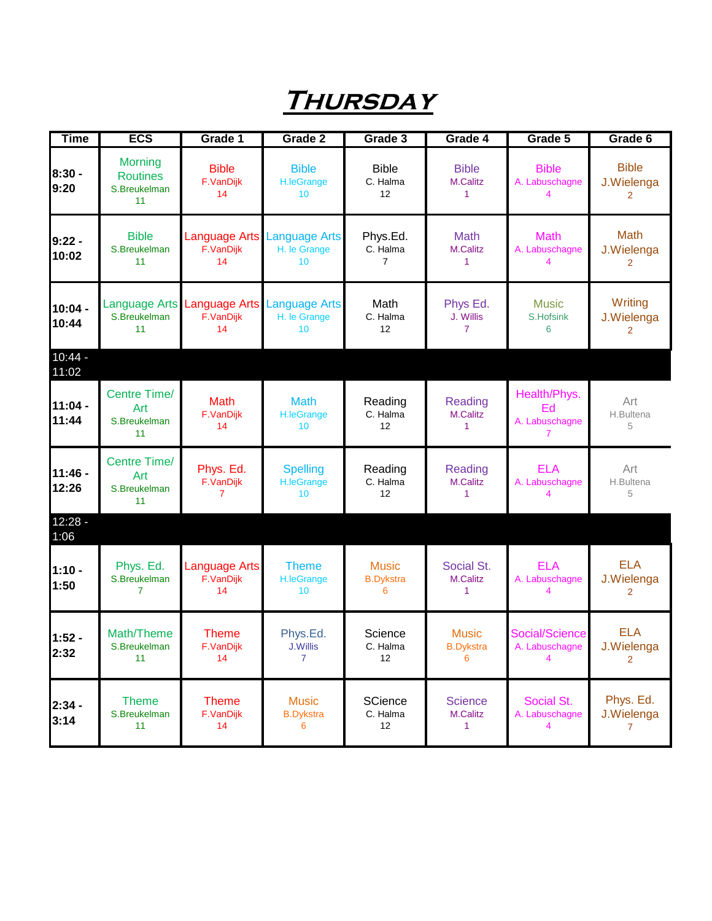#### **Thursday**

| <b>Time</b>        | <b>ECS</b>                                              | Grade 1                                 | Grade 2                                                 | Grade 3                                       | Grade 4                                             | Grade 5                                            | Grade 6                                    |
|--------------------|---------------------------------------------------------|-----------------------------------------|---------------------------------------------------------|-----------------------------------------------|-----------------------------------------------------|----------------------------------------------------|--------------------------------------------|
| 8:30 -<br>9:20     | <b>Morning</b><br><b>Routines</b><br>S.Breukelman<br>11 | <b>Bible</b><br>F.VanDijk<br>14         | <b>Bible</b><br>H.leGrange<br>10 <sup>°</sup>           | <b>Bible</b><br>C. Halma<br>$12 \overline{ }$ | <b>Bible</b><br><b>M.Calitz</b>                     | <b>Bible</b><br>A. Labuschagne                     | <b>Bible</b><br>J.Wielenga<br>2            |
| $9:22 -$<br>10:02  | <b>Bible</b><br>S.Breukelman<br>11                      | <b>Language Arts</b><br>F.VanDijk<br>14 | Language Arts<br>H. le Grange<br>10 <sup>°</sup>        | Phys.Ed.<br>C. Halma<br>7                     | <b>Math</b><br><b>M.Calitz</b><br>-1                | <b>Math</b><br>A. Labuschagne                      | <b>Math</b><br>J.Wielenga<br>2             |
| 10:04 -<br>10:44   | Language Arts<br>S.Breukelman<br>11                     | <b>Language Arts</b><br>F.VanDijk<br>14 | <b>Language Arts</b><br>H. le Grange<br>10 <sup>1</sup> | Math<br>C. Halma<br>$12 \overline{ }$         | Phys Ed.<br>J. Willis<br>$\overline{7}$             | <b>Music</b><br>S.Hofsink<br>6                     | Writing<br>J.Wielenga<br>2                 |
| $10:44 -$<br>11:02 |                                                         |                                         |                                                         |                                               |                                                     |                                                    |                                            |
| 11:04 -<br>11:44   | Centre Time/<br>Art<br>S.Breukelman<br>11               | <b>Math</b><br>F.VanDijk<br>14          | <b>Math</b><br>H.leGrange<br>10 <sup>°</sup>            | Reading<br>C. Halma<br>12                     | Reading<br>M.Calitz                                 | Health/Phys.<br>Ed<br>A. Labuschagne               | Art<br>H.Bultena<br>5                      |
| $11:46 -$<br>12:26 | Centre Time/<br>Art<br>S.Breukelman<br>11               | Phys. Ed.<br>F.VanDijk<br>7             | <b>Spelling</b><br><b>H.leGrange</b><br>10 <sup>°</sup> | Reading<br>C. Halma<br>$12 \overline{ }$      | Reading<br><b>M.Calitz</b>                          | <b>ELA</b><br>A. Labuschagne                       | Art<br>H.Bultena<br>5                      |
| $12:28 -$<br>1:06  |                                                         |                                         |                                                         |                                               |                                                     |                                                    |                                            |
| $1:10 -$<br>1:50   | Phys. Ed.<br>S.Breukelman<br>7                          | <b>Language Arts</b><br>F.VanDijk<br>14 | <b>Theme</b><br>H.leGrange<br>10 <sup>°</sup>           | <b>Music</b><br><b>B.Dykstra</b>              | Social St.<br><b>M.Calitz</b>                       | <b>ELA</b><br>A. Labuschagne                       | <b>ELA</b><br>J.Wielenga<br>2              |
| $1:52 -$<br>2:32   | Math/Theme<br>S.Breukelman<br>11                        | <b>Theme</b><br>F.VanDijk<br>14         | Phys.Ed.<br>J.Willis<br>$\overline{7}$                  | Science<br>C. Halma<br>12                     | <b>Music</b><br><b>B.Dykstra</b><br>$6\phantom{1}6$ | Social/Science<br>A. Labuschagne<br>$\overline{4}$ | <b>ELA</b><br>J.Wielenga<br>$\overline{2}$ |
| $2:34 -$<br>3:14   | <b>Theme</b><br>S.Breukelman<br>11                      | <b>Theme</b><br>F.VanDijk<br>14         | <b>Music</b><br><b>B.Dykstra</b><br>6                   | SCience<br>C. Halma<br>12                     | <b>Science</b><br>M.Calitz<br>1                     | Social St.<br>A. Labuschagne<br>4                  | Phys. Ed.<br>J.Wielenga<br>7.              |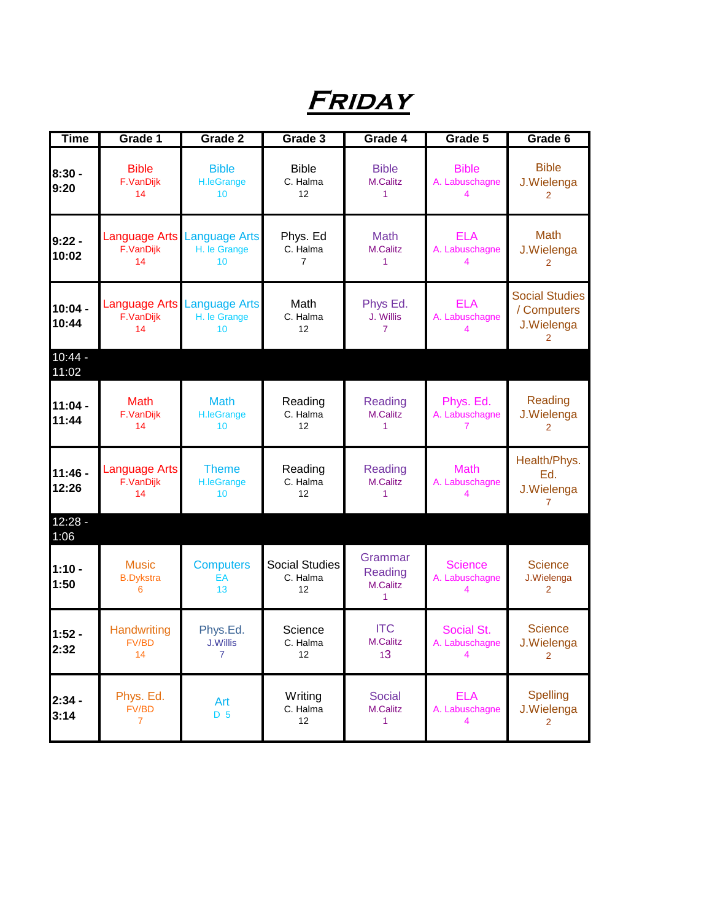## **Friday**

| <b>Time</b>        | Grade 1                                  | Grade 2                                    | Grade 3                                 | Grade 4                             | Grade 5                               | Grade 6                                                              |
|--------------------|------------------------------------------|--------------------------------------------|-----------------------------------------|-------------------------------------|---------------------------------------|----------------------------------------------------------------------|
| 8:30 -<br>9:20     | <b>Bible</b><br>F.VanDijk<br>14          | <b>Bible</b><br>H.leGrange<br>10           | <b>Bible</b><br>C. Halma<br>12          | <b>Bible</b><br>M.Calitz<br>1       | <b>Bible</b><br>A. Labuschagne        | <b>Bible</b><br>J.Wielenga<br>2                                      |
| $9:22 -$<br>10:02  | <b>Language Arts</b><br>F.VanDijk<br>14  | <b>Language Arts</b><br>H. le Grange<br>10 | Phys. Ed<br>C. Halma<br>7               | <b>Math</b><br>M.Calitz<br>1        | <b>ELA</b><br>A. Labuschagne          | <b>Math</b><br>J.Wielenga<br>2                                       |
| $10:04 -$<br>10:44 | <b>Language Arts</b><br>F.VanDijk<br>14  | <b>Language Arts</b><br>H. le Grange<br>10 | Math<br>C. Halma<br>12                  | Phys Ed.<br>J. Willis<br>7          | <b>ELA</b><br>A. Labuschagne          | <b>Social Studies</b><br>/ Computers<br>J.Wielenga<br>$\overline{2}$ |
| $10:44 -$<br>11:02 |                                          |                                            |                                         |                                     |                                       |                                                                      |
| $11:04 -$<br>11:44 | Math<br>F.VanDijk<br>14                  | <b>Math</b><br>H.leGrange<br>10            | Reading<br>C. Halma<br>12               | Reading<br>M.Calitz<br>1            | Phys. Ed.<br>A. Labuschagne           | Reading<br>J.Wielenga<br>2                                           |
| $11:46 -$<br>12:26 | Language Arts<br>F.VanDijk<br>14         | <b>Theme</b><br><b>H.leGrange</b><br>10    | Reading<br>C. Halma<br>12               | Reading<br><b>M.Calitz</b><br>1     | <b>Math</b><br>A. Labuschagne<br>4    | Health/Phys.<br>Ed.<br>J.Wielenga<br>7                               |
| $12:28 -$<br>1:06  |                                          |                                            |                                         |                                     |                                       |                                                                      |
| $1:10 -$<br>1:50   | <b>Music</b><br><b>B.Dykstra</b><br>6    | <b>Computers</b><br>EA<br>13               | <b>Social Studies</b><br>C. Halma<br>12 | Grammar<br>Reading<br>M.Calitz<br>1 | <b>Science</b><br>A. Labuschagne<br>4 | <b>Science</b><br>J.Wielenga<br>$\overline{2}$                       |
| $1:52 -$<br>2:32   | <b>Handwriting</b><br><b>FV/BD</b><br>14 | Phys.Ed.<br>J.Willis<br>7                  | Science<br>C. Halma<br>12               | <b>ITC</b><br><b>M.Calitz</b><br>13 | Social St.<br>A. Labuschagne<br>4     | <b>Science</b><br>J.Wielenga<br>2                                    |
| $2:34 -$<br>3:14   | Phys. Ed.<br>FV/BD<br>$\overline{7}$     | Art<br>D <sub>5</sub>                      | Writing<br>C. Halma<br>12               | <b>Social</b><br>M.Calitz<br>1      | <b>ELA</b><br>A. Labuschagne<br>4     | <b>Spelling</b><br>J.Wielenga<br>$\overline{2}$                      |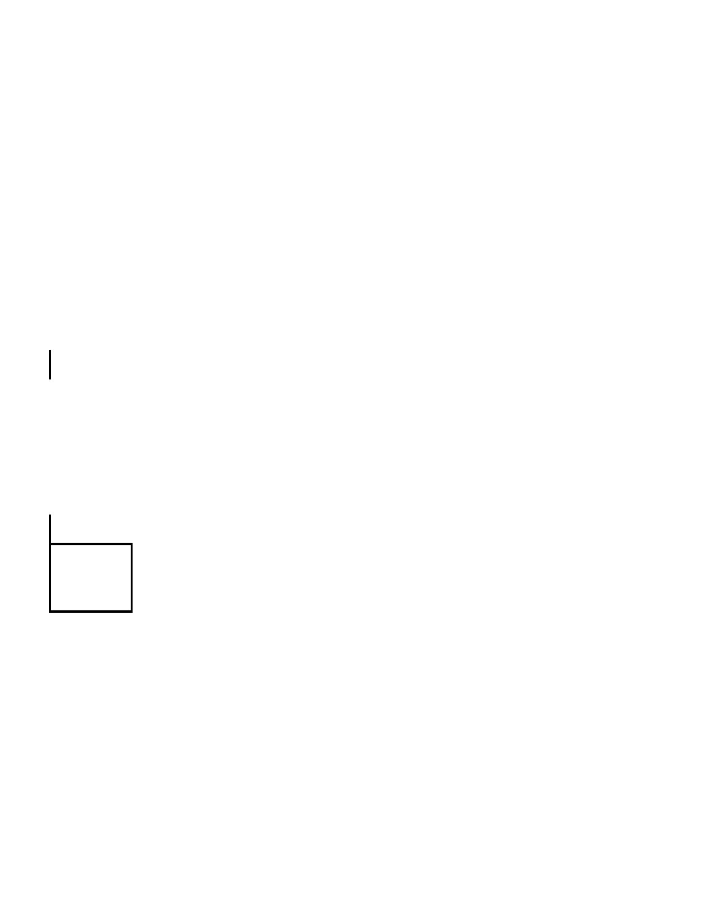

 $\begin{array}{c} \hline \end{array}$